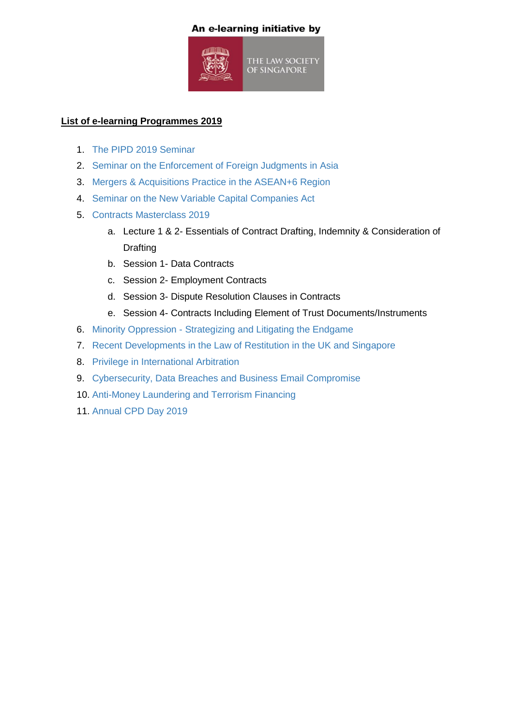## An e-learning initiative by



## **List of e-learning Programmes 2019**

- 1. [The PIPD 2019 Seminar](https://law-society-singapore-prod.s3.ap-southeast-1.amazonaws.com/2022/04/The-PIPD-2019-Seminar.pdf)
- 2. [Seminar on the Enforcement of Foreign Judgments in Asia](https://law-society-singapore-prod.s3.ap-southeast-1.amazonaws.com/2022/04/The-Enforcement-of-Foreign-Judgments-in-Asia-1.pdf)
- 3. [Mergers & Acquisitions Practice in the ASEAN+6 Region](https://law-society-singapore-prod.s3.ap-southeast-1.amazonaws.com/2022/04/Mergers-and-Acquisitions-Practice-in-the-ASEAN6-Region.pdf)
- 4. [Seminar on the New Variable Capital Companies Act](https://law-society-singapore-prod.s3.ap-southeast-1.amazonaws.com/2022/04/The-New-Variable-Capital-Companies-Act-1.pdf)
- 5. [Contracts Masterclass 2019](https://law-society-singapore-prod.s3.ap-southeast-1.amazonaws.com/2022/04/Contracts-Masterclass-2019.pdf)
	- a. Lecture 1 & 2- Essentials of Contract Drafting, Indemnity & Consideration of **Drafting**
	- b. Session 1- Data Contracts
	- c. Session 2- Employment Contracts
	- d. Session 3- Dispute Resolution Clauses in Contracts
	- e. Session 4- Contracts Including Element of Trust Documents/Instruments
- 6. Minority Oppression [Strategizing and Litigating the Endgame](https://law-society-singapore-prod.s3.ap-southeast-1.amazonaws.com/2022/04/Minority-Oppression-%E2%80%93-Strategizing-and-Litigating-the-Endgame-1.pdf)
- 7. [Recent Developments in the Law of Restitution in the UK and Singapore](https://law-society-singapore-prod.s3.ap-southeast-1.amazonaws.com/2022/04/Recent-Developments-in-the-Law-of-Restitution-in-the-UK-and-Singapore-1.pdf)
- 8. [Privilege in International Arbitration](https://law-society-singapore-prod.s3.ap-southeast-1.amazonaws.com/2022/04/Privilege-in-International-Arbitration-1.pdf)
- 9. [Cybersecurity, Data Breaches and Business Email Compromise](https://law-society-singapore-prod.s3.ap-southeast-1.amazonaws.com/2022/04/Cybersecurity-Data-Breaches-and-Business-Email-Compromise-1.pdf)
- 10. [Anti-Money Laundering and Terrorism Financing](https://law-society-singapore-prod.s3.ap-southeast-1.amazonaws.com/2022/04/Anti-Money-Laundering-and-Terrorism-Financing-3.pdf)
- 11. [Annual CPD Day 2019](https://law-society-singapore-prod.s3.ap-southeast-1.amazonaws.com/2022/04/Annual-CPD-Day-2019.pdf)